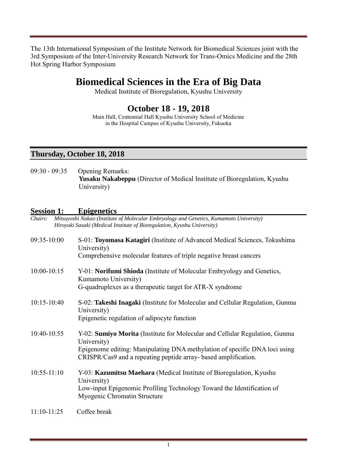The 13th International Symposium of the Institute Network for Biomedical Sciences joint with the 3rd Symposium of the Inter-University Research Network for Trans-Omics Medicine and the 28th Hot Spring Harbor Symposium

# **Biomedical Sciences in the Era of Big Data**

Medical Institute of Bioregulation, Kyushu University

# **October 18 - 19, 2018**

Main Hall, Centennial Hall Kyushu University School of Medicine in the Hospital Campus of Kyushu University, Fukuoka

#### **Thursday, October 18, 2018**

09:30 - 09:35 Opening Remarks: **Yusaku Nakabeppu** (Director of Medical Institute of Bioregulation, Kyushu University)

#### **Session 1: Epigenetics**

| <b>Session 1:</b> | <b>Epigenetics</b>                                                                                                                                                                                                                         |
|-------------------|--------------------------------------------------------------------------------------------------------------------------------------------------------------------------------------------------------------------------------------------|
| Chairs:           | Mitsuyoshi Nakao (Institute of Molecular Embryology and Genetics, Kumamoto University)<br>Hiroyuki Sasaki (Medical Institute of Bioregulation, Kyushu University)                                                                          |
| 09:35-10:00       | S-01: Toyomasa Katagiri (Institute of Advanced Medical Sciences, Tokushima<br>University)<br>Comprehensive molecular features of triple negative breast cancers                                                                            |
| $10:00 - 10:15$   | Y-01: Norifumi Shioda (Institute of Molecular Embryology and Genetics,<br>Kumamoto University)<br>G-quadruplexes as a therapeutic target for ATR-X syndrome                                                                                |
| $10:15 - 10:40$   | S-02: Takeshi Inagaki (Institute for Molecular and Cellular Regulation, Gunma<br>University)<br>Epigenetic regulation of adipocyte function                                                                                                |
| 10:40-10:55       | Y-02: Sumiyo Morita (Institute for Molecular and Cellular Regulation, Gunma<br>University)<br>Epigenome editing: Manipulating DNA methylation of specific DNA loci using<br>CRISPR/Cas9 and a repeating peptide array-based amplification. |
| $10:55 - 11:10$   | Y-03: Kazumitsu Maehara (Medical Institute of Bioregulation, Kyushu<br>University)<br>Low-input Epigenomic Profiling Technology Toward the Identification of<br>Myogenic Chromatin Structure                                               |
| $11:10-11:25$     | Coffee break                                                                                                                                                                                                                               |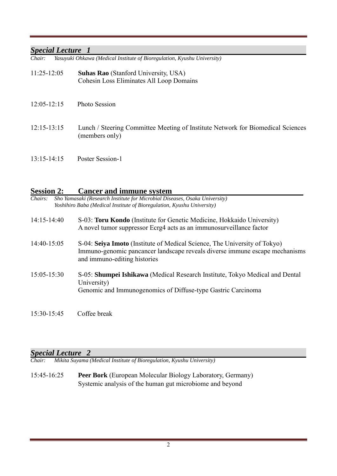#### *Special Lecture 1*

*Chair: Yasuyuki Ohkawa (Medical Institute of Bioregulation, Kyushu University)*

- 11:25-12:05 **Suhas Rao** (Stanford University, USA) Cohesin Loss Eliminates All Loop Domains
- 12:05-12:15 Photo Session
- 12:15-13:15 Lunch / Steering Committee Meeting of Institute Network for Biomedical Sciences (members only)
- 13:15-14:15 Poster Session-1

#### **Session 2: Cancer and immune system**

*Chairs: Sho Yamasaki (Research Institute for Microbial Diseases, Osaka University) Yoshihiro Baba (Medical Institute of Bioregulation, Kyushu University)*

- 14:15-14:40 S-03: **Toru Kondo** (Institute for Genetic Medicine, Hokkaido University) A novel tumor suppressor Ecrg4 acts as an immunosurveillance factor
- 14:40-15:05 S-04: **Seiya Imoto** (Institute of Medical Science, The University of Tokyo) Immuno-genomic pancancer landscape reveals diverse immune escape mechanisms and immuno-editing histories
- 15:05-15:30 S-05: **Shumpei Ishikawa** (Medical Research Institute, Tokyo Medical and Dental University) Genomic and Immunogenomics of Diffuse-type Gastric Carcinoma

15:30-15:45 Coffee break

#### *Special Lecture 2*

*Chair: Mikita Suyama (Medical Institute of Bioregulation, Kyushu University)*

15:45-16:25 **Peer Bork** (European Molecular Biology Laboratory, Germany) Systemic analysis of the human gut microbiome and beyond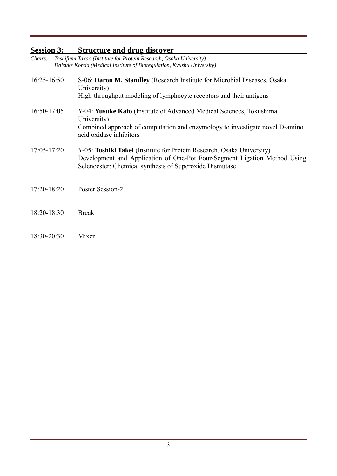# **Session 3: Structure and drug discover**

| Chairs:         | Toshifumi Takao (Institute for Protein Research, Osaka University)<br>Daisuke Kohda (Medical Institute of Bioregulation, Kyushu University)                                                                    |
|-----------------|----------------------------------------------------------------------------------------------------------------------------------------------------------------------------------------------------------------|
| $16:25-16:50$   | S-06: Daron M. Standley (Research Institute for Microbial Diseases, Osaka<br>University)<br>High-throughput modeling of lymphocyte receptors and their antigens                                                |
| 16:50-17:05     | Y-04: Yusuke Kato (Institute of Advanced Medical Sciences, Tokushima<br>University)<br>Combined approach of computation and enzymology to investigate novel D-amino<br>acid oxidase inhibitors                 |
| $17:05 - 17:20$ | Y-05: Toshiki Takei (Institute for Protein Research, Osaka University)<br>Development and Application of One-Pot Four-Segment Ligation Method Using<br>Selenoester: Chemical synthesis of Superoxide Dismutase |
| 17:20-18:20     | Poster Session-2                                                                                                                                                                                               |
| 18:20-18:30     | <b>Break</b>                                                                                                                                                                                                   |
| 18:30-20:30     | Mixer                                                                                                                                                                                                          |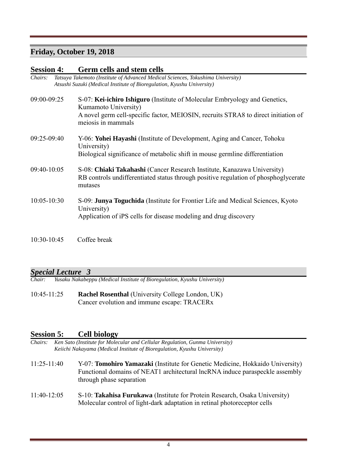## **Friday, October 19, 2018**

#### **Session 4: Germ cells and stem cells**

| <i>Chairs:</i> | Tatsuya Takemoto (Institute of Advanced Medical Sciences, Tokushima University) |
|----------------|---------------------------------------------------------------------------------|
|                | Atsushi Suzuki (Medical Institute of Bioregulation, Kyushu University)          |

09:00-09:25 S-07: **Kei-ichiro Ishiguro** (Institute of Molecular Embryology and Genetics, Kumamoto University) A novel germ cell-specific factor, MEIOSIN, recruits STRA8 to direct initiation of meiosis in mammals 09:25-09:40 Y-06: **Yohei Hayashi** (Institute of Development, Aging and Cancer, Tohoku University) Biological significance of metabolic shift in mouse germline differentiation 09:40-10:05 S-08: **Chiaki Takahashi** (Cancer Research Institute, Kanazawa University) RB controls undifferentiated status through positive regulation of phosphoglycerate mutases 10:05-10:30 S-09: **Junya Toguchida** (Institute for Frontier Life and Medical Sciences, Kyoto University) Application of iPS cells for disease modeling and drug discovery

 $10.30 - 10.45$  Coffee break

# *Special Lecture 3*

*Chair: Yusaku Nakabeppu (Medical Institute of Bioregulation, Kyushu University)* 

10:45-11:25 **Rachel Rosenthal** (University College London, UK) Cancer evolution and immune escape: TRACERx

#### **Session 5: Cell biology**

- *Chairs: Ken Sato (Institute for Molecular and Cellular Regulation, Gunma University) Keiichi Nakayama (Medical Institute of Bioregulation, Kyushu University)*
- 11:25-11:40 Y-07: **Tomohiro Yamazaki** (Institute for Genetic Medicine, Hokkaido University) Functional domains of NEAT1 architectural lncRNA induce paraspeckle assembly through phase separation
- 11:40-12:05 S-10: **Takahisa Furukawa** (Institute for Protein Research, Osaka University) Molecular control of light-dark adaptation in retinal photoreceptor cells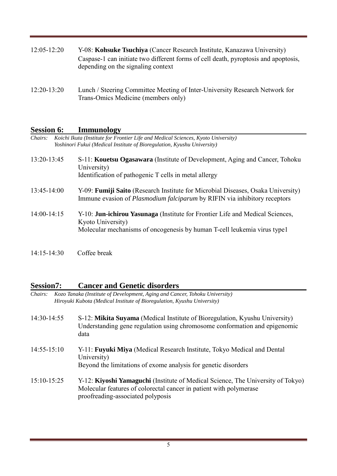- 12:05-12:20 Y-08: **Kohsuke Tsuchiya** (Cancer Research Institute, Kanazawa University) Caspase-1 can initiate two different forms of cell death, pyroptosis and apoptosis, depending on the signaling context
- 12:20-13:20 Lunch / Steering Committee Meeting of Inter-University Research Network for Trans-Omics Medicine (members only)

#### **Session 6: Immunology**

| Chairs:       | Koichi Ikuta (Institute for Frontier Life and Medical Sciences, Kyoto University)<br>Yoshinori Fukui (Medical Institute of Bioregulation, Kyushu University)                          |
|---------------|---------------------------------------------------------------------------------------------------------------------------------------------------------------------------------------|
| 13:20-13:45   | S-11: <b>Kouetsu Ogasawara</b> (Institute of Development, Aging and Cancer, Tohoku<br>University)<br>Identification of pathogenic T cells in metal allergy                            |
| $13:45-14:00$ | Y-09: <b>Fumiji Saito</b> (Research Institute for Microbial Diseases, Osaka University)<br>Immune evasion of <i>Plasmodium falciparum</i> by RIFIN via inhibitory receptors           |
| $14:00-14:15$ | Y-10: <b>Jun-ichirou Yasunaga</b> (Institute for Frontier Life and Medical Sciences,<br>Kyoto University)<br>Molecular mechanisms of oncogenesis by human T-cell leukemia virus type1 |

14:15-14:30 Coffee break

### **Session7: Cancer and Genetic disorders**

| <i>Chairs:</i> | Kozo Tanaka (Institute of Development, Aging and Cancer, Tohoku University)    |
|----------------|--------------------------------------------------------------------------------|
|                | <i>Hiroyuki Kubota (Medical Institute of Bioregulation, Kyushu University)</i> |

- 14:30-14:55 S-12: **Mikita Suyama** (Medical Institute of Bioregulation, Kyushu University) Understanding gene regulation using chromosome conformation and epigenomic data
- 14:55-15:10 Y-11: **Fuyuki Miya** (Medical Research Institute, Tokyo Medical and Dental University) Beyond the limitations of exome analysis for genetic disorders
- 15:10-15:25 Y-12: **Kiyoshi Yamaguchi** (Institute of Medical Science, The University of Tokyo) Molecular features of colorectal cancer in patient with polymerase proofreading-associated polyposis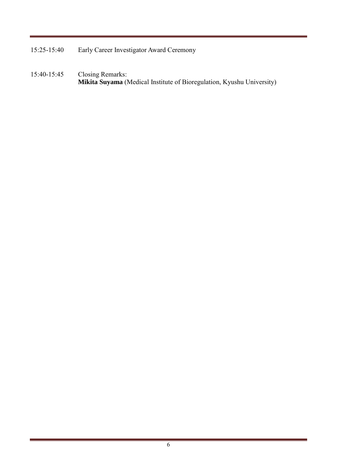- 15:25-15:40 Early Career Investigator Award Ceremony
- 15:40-15:45 Closing Remarks: **Mikita Suyama** (Medical Institute of Bioregulation, Kyushu University)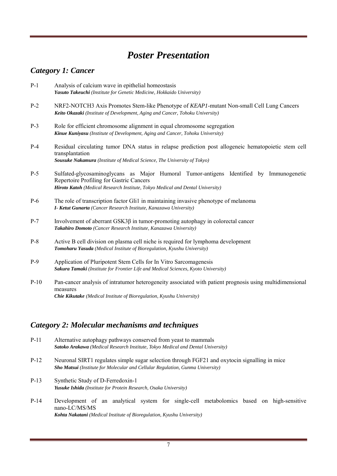# *Poster Presentation*

# *Category 1: Cancer*

- P-1 Analysis of calcium wave in epithelial homeostasis *Yasuto Takeuchi (Institute for Genetic Medicine, Hokkaido University)*
- P-2 NRF2-NOTCH3 Axis Promotes Stem-like Phenotype of *KEAP1*-mutant Non-small Cell Lung Cancers *Keito Okazaki (Institute of Development, Aging and Cancer, Tohoku University)*
- P-3 Role for efficient chromosome alignment in equal chromosome segregation *Kinue Kuniyasu (Institute of Development, Aging and Cancer, Tohoku University)*
- P-4 Residual circulating tumor DNA status in relapse prediction post allogeneic hematopoietic stem cell transplantation *Sousuke Nakamura (Institute of Medical Science, The University of Tokyo)*
- P-5 Sulfated-glycosaminoglycans as Major Humoral Tumor-antigens Identified by Immunogenetic Repertoire Profiling for Gastric Cancers *Hiroto Katoh (Medical Research Institute, Tokyo Medical and Dental University)*
- P-6 The role of transcription factor Gli1 in maintaining invasive phenotype of melanoma *I- Ketut Gunarta (Cancer Research Institute, Kanazawa University)*
- P-7 Involvement of aberrant GSK3β in tumor-promoting autophagy in colorectal cancer *Takahiro Domoto (Cancer Research Institute, Kanazawa University)*
- P-8 Active B cell division on plasma cell niche is required for lymphoma development *Tomoharu Yasuda (Medical Institute of Bioregulation, Kyushu University)*
- P-9 Application of Pluripotent Stem Cells for In Vitro Sarcomagenesis *Sakura Tamaki (Institute for Frontier Life and Medical Sciences, Kyoto University)*
- P-10 Pan-cancer analysis of intratumor heterogeneity associated with patient prognosis using multidimensional measures *Chie Kikutake (Medical Institute of Bioregulation, Kyushu University)*

# *Category 2: Molecular mechanisms and techniques*

| P-11   | Alternative autophagy pathways conserved from yeast to mammals<br><b>Satoko Arakawa</b> (Medical Research Institute, Tokyo Medical and Dental University)                       |
|--------|---------------------------------------------------------------------------------------------------------------------------------------------------------------------------------|
| $P-12$ | Neuronal SIRT1 regulates simple sugar selection through FGF21 and oxytocin signalling in mice<br>Sho Matsui (Institute for Molecular and Cellular Regulation, Gunma University) |
| P-13   | Synthetic Study of D-Ferredoxin-1<br>Yusuke Ishida (Institute for Protein Research, Osaka University)                                                                           |
| P-14   | Development of an analytical system for single-cell metabolomics based on high-sensitive<br>nano-LC/MS/MS                                                                       |

*Kohta Nakatani (Medical Institute of Bioregulation, Kyushu University)*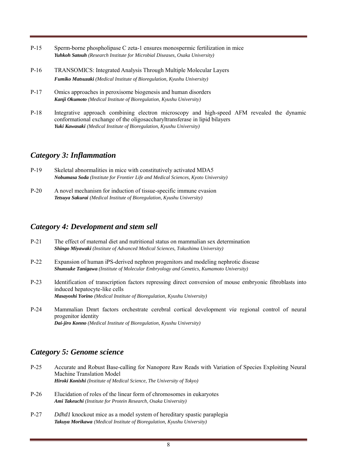- P-15 Sperm-borne phospholipase C zeta-1 ensures monospermic fertilization in mice *Yuhkoh Satouh (Research Institute for Microbial Diseases, Osaka University)*
- P-16 TRANSOMICS: Integrated Analysis Through Multiple Molecular Layers *Fumiko Matsuzaki (Medical Institute of Bioregulation, Kyushu University)*
- P-17 Omics approaches in peroxisome biogenesis and human disorders *Kanji Okumoto (Medical Institute of Bioregulation, Kyushu University)*
- P-18 Integrative approach combining electron microscopy and high-speed AFM revealed the dynamic conformational exchange of the oligosaccharyltransferase in lipid bilayers *Yuki Kawasaki (Medical Institute of Bioregulation, Kyushu University)*

#### *Category 3: Inflammation*

| $P-19$ | Skeletal abnormalities in mice with constitutively activated MDA5                         |
|--------|-------------------------------------------------------------------------------------------|
|        | <b>Nobumasa Soda</b> (Institute for Frontier Life and Medical Sciences, Kyoto University) |

P-20 A novel mechanism for induction of tissue-specific immune evasion *Tetsuya Sakurai (Medical Institute of Bioregulation, Kyushu University)*

### *Category 4: Development and stem sell*

- P-21 The effect of maternal diet and nutritional status on mammalian sex determination *Shingo Miyawaki (Institute of Advanced Medical Sciences, Tokushima University)*
- P-22 Expansion of human iPS-derived nephron progenitors and modeling nephrotic disease *Shunsuke Tanigawa (Institute of Molecular Embryology and Genetics, Kumamoto University)*
- P-23 Identification of transcription factors repressing direct conversion of mouse embryonic fibroblasts into induced hepatocyte-like cells *Masayoshi Yorino (Medical Institute of Bioregulation, Kyushu University)*
- P-24 Mammalian Dmrt factors orchestrate cerebral cortical development *via* regional control of neural progenitor identity *Dai-jiro Konno (Medical Institute of Bioregulation, Kyushu University)*

### *Category 5: Genome science*

- P-25 Accurate and Robust Base-calling for Nanopore Raw Reads with Variation of Species Exploiting Neural Machine Translation Model *Hiroki Konishi (Institute of Medical Science, The University of Tokyo)*
- P-26 Elucidation of roles of the linear form of chromosomes in eukaryotes *Ami Takeuchi (Institute for Protein Research, Osaka University)*
- P-27 *Ddhd1* knockout mice as a model system of hereditary spastic paraplegia *Takuya Morikawa (Medical Institute of Bioregulation, Kyushu University)*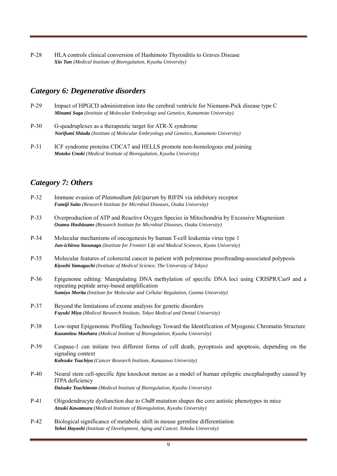P-28 HLA controls clinical conversion of Hashimoto Thyroiditis to Graves Disease *Xin Tun (Medical Institute of Bioregulation, Kyushu University)*

#### *Category 6: Degenerative disorders*

- P-29 Impact of HPGCD administration into the cerebral ventricle for Niemann-Pick disease type C *Minami Soga (Institute of Molecular Embryology and Genetics, Kumamoto University)*
- P-30 G-quadruplexes as a therapeutic target for ATR-X syndrome *Norifumi Shioda (Institute of Molecular Embryology and Genetics, Kumamoto University)*
- P-31 ICF syndrome proteins CDCA7 and HELLS promote non-homologous end joining *Motoko Unoki (Medical Institute of Bioregulation, Kyushu University)*

## *Category 7: Others*

| $P-32$ | Immune evasion of <i>Plasmodium falciparum</i> by RIFIN via inhibitory receptor<br>Fumiji Saito (Research Institute for Microbial Diseases, Osaka University)                                                                    |
|--------|----------------------------------------------------------------------------------------------------------------------------------------------------------------------------------------------------------------------------------|
| $P-33$ | Overproduction of ATP and Reactive Oxygen Species in Mitochondria by Excessive Magnesium<br>Osamu Hashizume (Research Institute for Microbial Diseases, Osaka University)                                                        |
| $P-34$ | Molecular mechanisms of oncogenesis by human T-cell leukemia virus type 1<br>Jun-ichirou Yasunaga (Institute for Frontier Life and Medical Sciences, Kyoto University)                                                           |
| $P-35$ | Molecular features of colorectal cancer in patient with polymerase proofreading-associated polyposis<br>Kiyoshi Yamaguchi (Institute of Medical Science, The University of Tokyo)                                                |
| P-36   | Epigenome editing: Manipulating DNA methylation of specific DNA loci using CRISPR/Cas9 and a<br>repeating peptide array-based amplification<br>Sumiyo Morita (Institute for Molecular and Cellular Regulation, Gunma University) |
| $P-37$ | Beyond the limitations of exome analysis for genetic disorders<br>Fuyuki Miya (Medical Research Institute, Tokyo Medical and Dental University)                                                                                  |
| P-38   | Low-input Epigenomic Profiling Technology Toward the Identification of Myogenic Chromatin Structure<br>Kazumitsu Maehara (Medical Institute of Bioregulation, Kyushu University)                                                 |
| P-39   | Caspase-1 can initiate two different forms of cell death, pyroptosis and apoptosis, depending on the<br>signaling context<br>Kohsuke Tsuchiya (Cancer Research Institute, Kanazawa University)                                   |
| $P-40$ | Neural stem cell-specific <i>Itpa</i> knockout mouse as a model of human epileptic encephalopathy caused by<br>ITPA deficiency<br>Daisuke Tsuchimoto (Medical Institute of Bioregulation, Kyushu University)                     |
| $P-41$ | Oligodendrocyte dysfunction due to <i>Chd8</i> mutation shapes the core autistic phenotypes in mice<br>Atsuki Kawamura (Medical Institute of Bioregulation, Kyushu University)                                                   |
| $P-42$ | Biological significance of metabolic shift in mouse germline differentiation<br>Yohei Hayashi (Institute of Development, Aging and Cancer, Tohoku University)                                                                    |